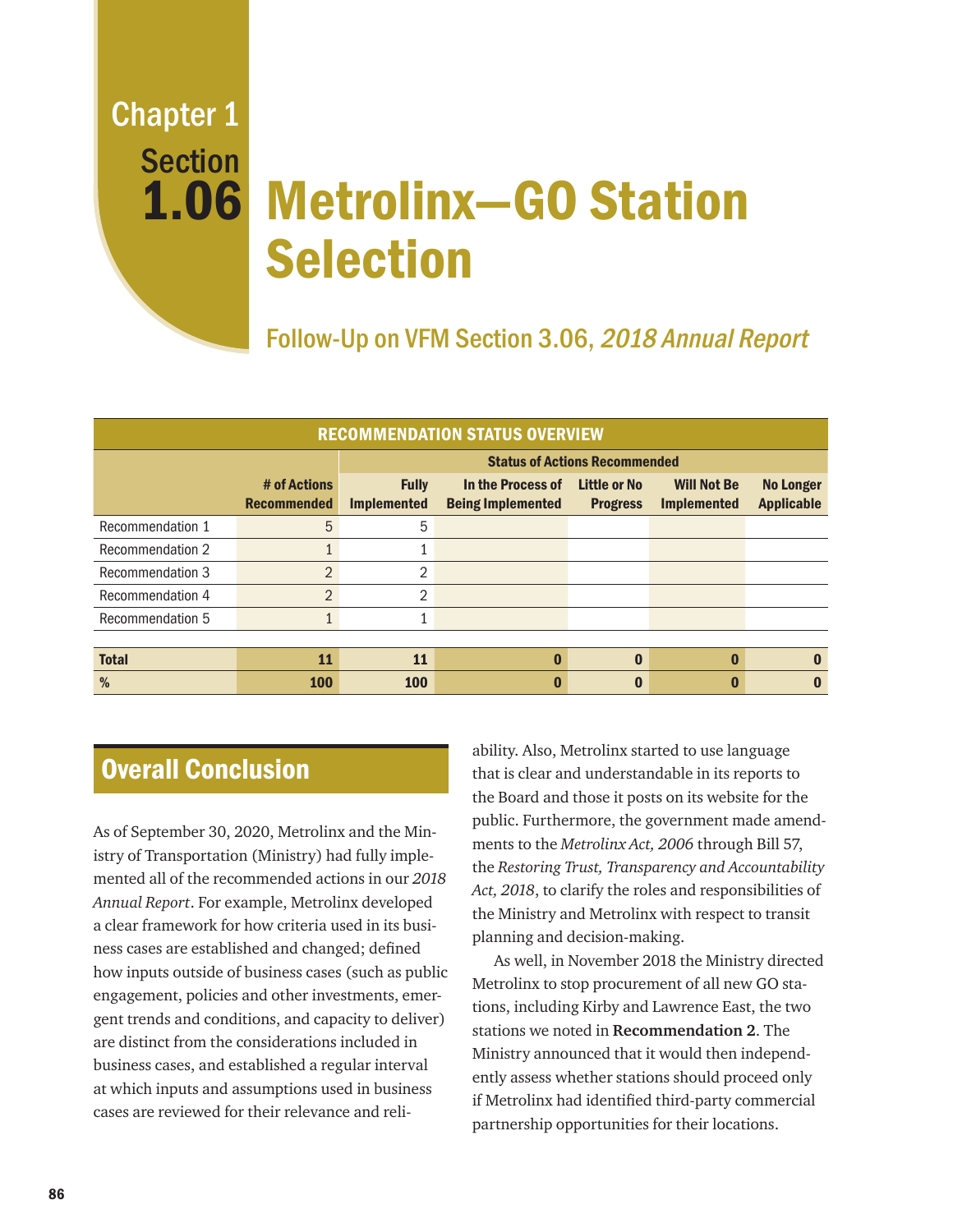# 1.06 Metrolinx–GO Station Selection Chapter 1 Section

## Follow-Up on VFM Section 3.06, 2018 Annual Report

| <b>RECOMMENDATION STATUS OVERVIEW</b> |                                    |                                      |                                               |                                        |                                          |                                       |
|---------------------------------------|------------------------------------|--------------------------------------|-----------------------------------------------|----------------------------------------|------------------------------------------|---------------------------------------|
|                                       |                                    | <b>Status of Actions Recommended</b> |                                               |                                        |                                          |                                       |
|                                       | # of Actions<br><b>Recommended</b> | <b>Fully</b><br><b>Implemented</b>   | In the Process of<br><b>Being Implemented</b> | <b>Little or No</b><br><b>Progress</b> | <b>Will Not Be</b><br><b>Implemented</b> | <b>No Longer</b><br><b>Applicable</b> |
| Recommendation 1                      | 5                                  | 5                                    |                                               |                                        |                                          |                                       |
| Recommendation 2                      |                                    |                                      |                                               |                                        |                                          |                                       |
| Recommendation 3                      | $\overline{2}$                     | $\overline{2}$                       |                                               |                                        |                                          |                                       |
| Recommendation 4                      | $\overline{2}$                     | $\overline{2}$                       |                                               |                                        |                                          |                                       |
| Recommendation 5                      |                                    | 1                                    |                                               |                                        |                                          |                                       |
|                                       |                                    |                                      |                                               |                                        |                                          |                                       |
| <b>Total</b>                          | 11                                 | 11                                   |                                               | $\Omega$                               |                                          | $\bf{0}$                              |
| %                                     | 100                                | <b>100</b>                           |                                               |                                        |                                          |                                       |

### Overall Conclusion

As of September 30, 2020, Metrolinx and the Ministry of Transportation (Ministry) had fully implemented all of the recommended actions in our *2018 Annual Report*. For example, Metrolinx developed a clear framework for how criteria used in its business cases are established and changed; defined how inputs outside of business cases (such as public engagement, policies and other investments, emergent trends and conditions, and capacity to deliver) are distinct from the considerations included in business cases, and established a regular interval at which inputs and assumptions used in business cases are reviewed for their relevance and reli-

ability. Also, Metrolinx started to use language that is clear and understandable in its reports to the Board and those it posts on its website for the public. Furthermore, the government made amendments to the *Metrolinx Act, 2006* through Bill 57, the *Restoring Trust, Transparency and Accountability Act, 2018*, to clarify the roles and responsibilities of the Ministry and Metrolinx with respect to transit planning and decision-making.

As well, in November 2018 the Ministry directed Metrolinx to stop procurement of all new GO stations, including Kirby and Lawrence East, the two stations we noted in **Recommendation 2**. The Ministry announced that it would then independently assess whether stations should proceed only if Metrolinx had identified third-party commercial partnership opportunities for their locations.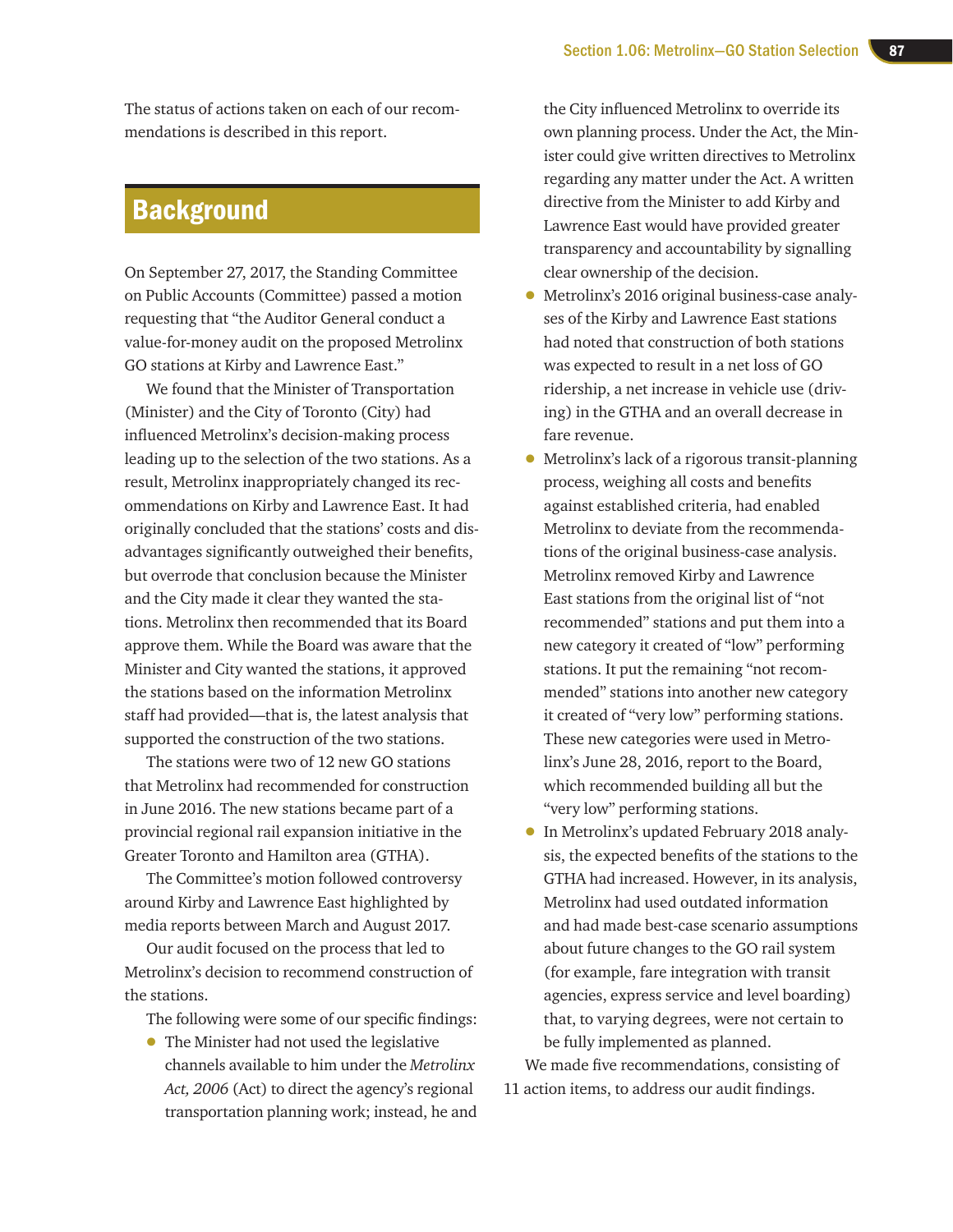The status of actions taken on each of our recommendations is described in this report.

### **Background**

On September 27, 2017, the Standing Committee on Public Accounts (Committee) passed a motion requesting that "the Auditor General conduct a value-for-money audit on the proposed Metrolinx GO stations at Kirby and Lawrence East."

We found that the Minister of Transportation (Minister) and the City of Toronto (City) had influenced Metrolinx's decision-making process leading up to the selection of the two stations. As a result, Metrolinx inappropriately changed its recommendations on Kirby and Lawrence East. It had originally concluded that the stations' costs and disadvantages significantly outweighed their benefits, but overrode that conclusion because the Minister and the City made it clear they wanted the stations. Metrolinx then recommended that its Board approve them. While the Board was aware that the Minister and City wanted the stations, it approved the stations based on the information Metrolinx staff had provided—that is, the latest analysis that supported the construction of the two stations.

The stations were two of 12 new GO stations that Metrolinx had recommended for construction in June 2016. The new stations became part of a provincial regional rail expansion initiative in the Greater Toronto and Hamilton area (GTHA).

The Committee's motion followed controversy around Kirby and Lawrence East highlighted by media reports between March and August 2017.

Our audit focused on the process that led to Metrolinx's decision to recommend construction of the stations.

The following were some of our specific findings:

• The Minister had not used the legislative channels available to him under the *Metrolinx Act, 2006* (Act) to direct the agency's regional transportation planning work; instead, he and

the City influenced Metrolinx to override its own planning process. Under the Act, the Minister could give written directives to Metrolinx regarding any matter under the Act. A written directive from the Minister to add Kirby and Lawrence East would have provided greater transparency and accountability by signalling clear ownership of the decision.

- Metrolinx's 2016 original business-case analyses of the Kirby and Lawrence East stations had noted that construction of both stations was expected to result in a net loss of GO ridership, a net increase in vehicle use (driving) in the GTHA and an overall decrease in fare revenue.
- Metrolinx's lack of a rigorous transit-planning process, weighing all costs and benefits against established criteria, had enabled Metrolinx to deviate from the recommendations of the original business-case analysis. Metrolinx removed Kirby and Lawrence East stations from the original list of "not recommended" stations and put them into a new category it created of "low" performing stations. It put the remaining "not recommended" stations into another new category it created of "very low" performing stations. These new categories were used in Metrolinx's June 28, 2016, report to the Board, which recommended building all but the "very low" performing stations.
- In Metrolinx's updated February 2018 analysis, the expected benefits of the stations to the GTHA had increased. However, in its analysis, Metrolinx had used outdated information and had made best-case scenario assumptions about future changes to the GO rail system (for example, fare integration with transit agencies, express service and level boarding) that, to varying degrees, were not certain to be fully implemented as planned.

We made five recommendations, consisting of 11 action items, to address our audit findings.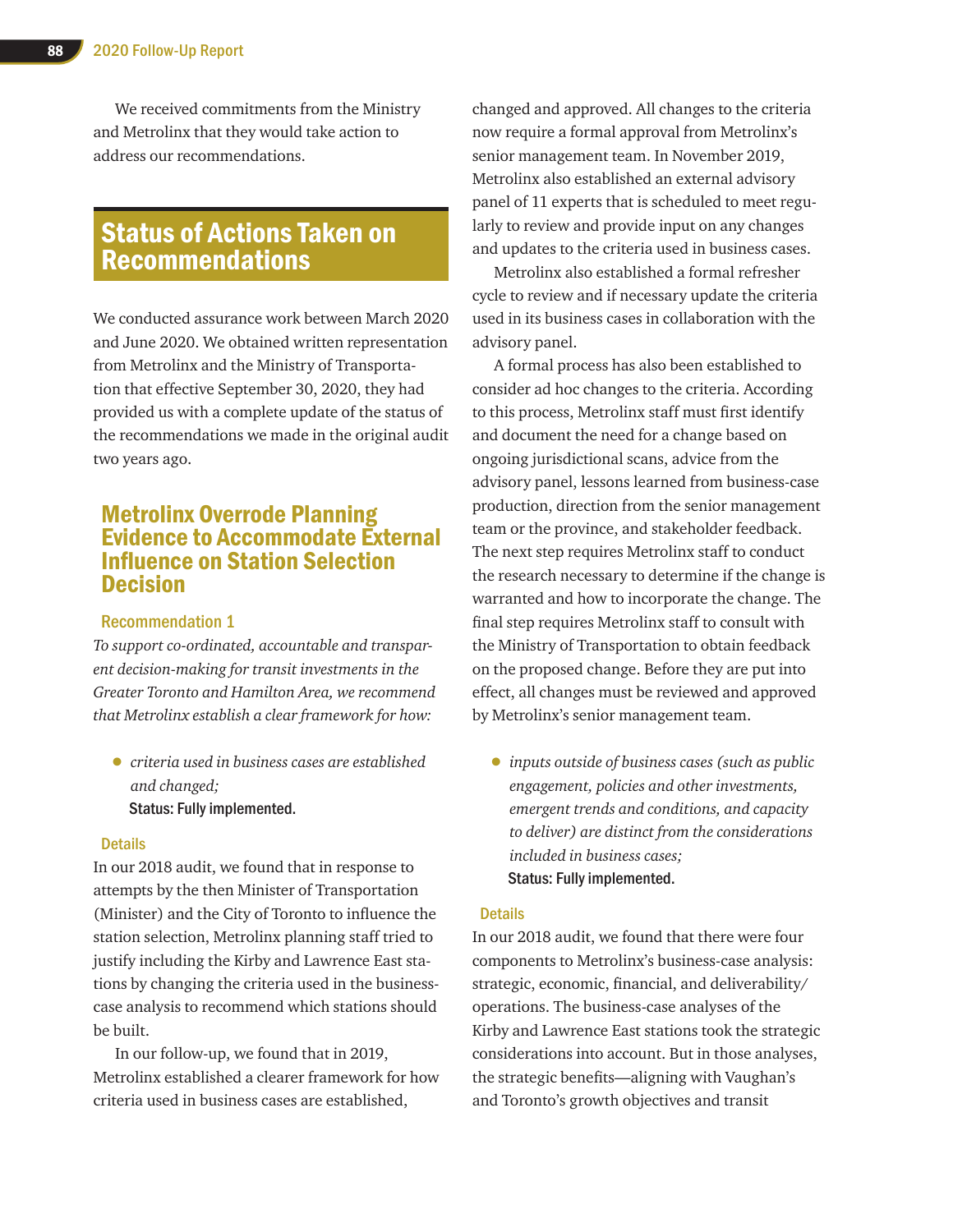We received commitments from the Ministry and Metrolinx that they would take action to address our recommendations.

### Status of Actions Taken on Recommendations

We conducted assurance work between March 2020 and June 2020. We obtained written representation from Metrolinx and the Ministry of Transportation that effective September 30, 2020, they had provided us with a complete update of the status of the recommendations we made in the original audit two years ago.

### Metrolinx Overrode Planning Evidence to Accommodate External Influence on Station Selection **Decision**

#### Recommendation 1

*To support co-ordinated, accountable and transparent decision-making for transit investments in the Greater Toronto and Hamilton Area, we recommend that Metrolinx establish a clear framework for how:*

• *criteria used in business cases are established and changed;* Status: Fully implemented.

#### **Details**

In our 2018 audit, we found that in response to attempts by the then Minister of Transportation (Minister) and the City of Toronto to influence the station selection, Metrolinx planning staff tried to justify including the Kirby and Lawrence East stations by changing the criteria used in the businesscase analysis to recommend which stations should be built.

In our follow-up, we found that in 2019, Metrolinx established a clearer framework for how criteria used in business cases are established,

changed and approved. All changes to the criteria now require a formal approval from Metrolinx's senior management team. In November 2019, Metrolinx also established an external advisory panel of 11 experts that is scheduled to meet regularly to review and provide input on any changes and updates to the criteria used in business cases.

Metrolinx also established a formal refresher cycle to review and if necessary update the criteria used in its business cases in collaboration with the advisory panel.

A formal process has also been established to consider ad hoc changes to the criteria. According to this process, Metrolinx staff must first identify and document the need for a change based on ongoing jurisdictional scans, advice from the advisory panel, lessons learned from business-case production, direction from the senior management team or the province, and stakeholder feedback. The next step requires Metrolinx staff to conduct the research necessary to determine if the change is warranted and how to incorporate the change. The final step requires Metrolinx staff to consult with the Ministry of Transportation to obtain feedback on the proposed change. Before they are put into effect, all changes must be reviewed and approved by Metrolinx's senior management team.

• *inputs outside of business cases (such as public engagement, policies and other investments, emergent trends and conditions, and capacity to deliver) are distinct from the considerations included in business cases;* Status: Fully implemented.

#### **Details**

In our 2018 audit, we found that there were four components to Metrolinx's business-case analysis: strategic, economic, financial, and deliverability/ operations. The business-case analyses of the Kirby and Lawrence East stations took the strategic considerations into account. But in those analyses, the strategic benefits—aligning with Vaughan's and Toronto's growth objectives and transit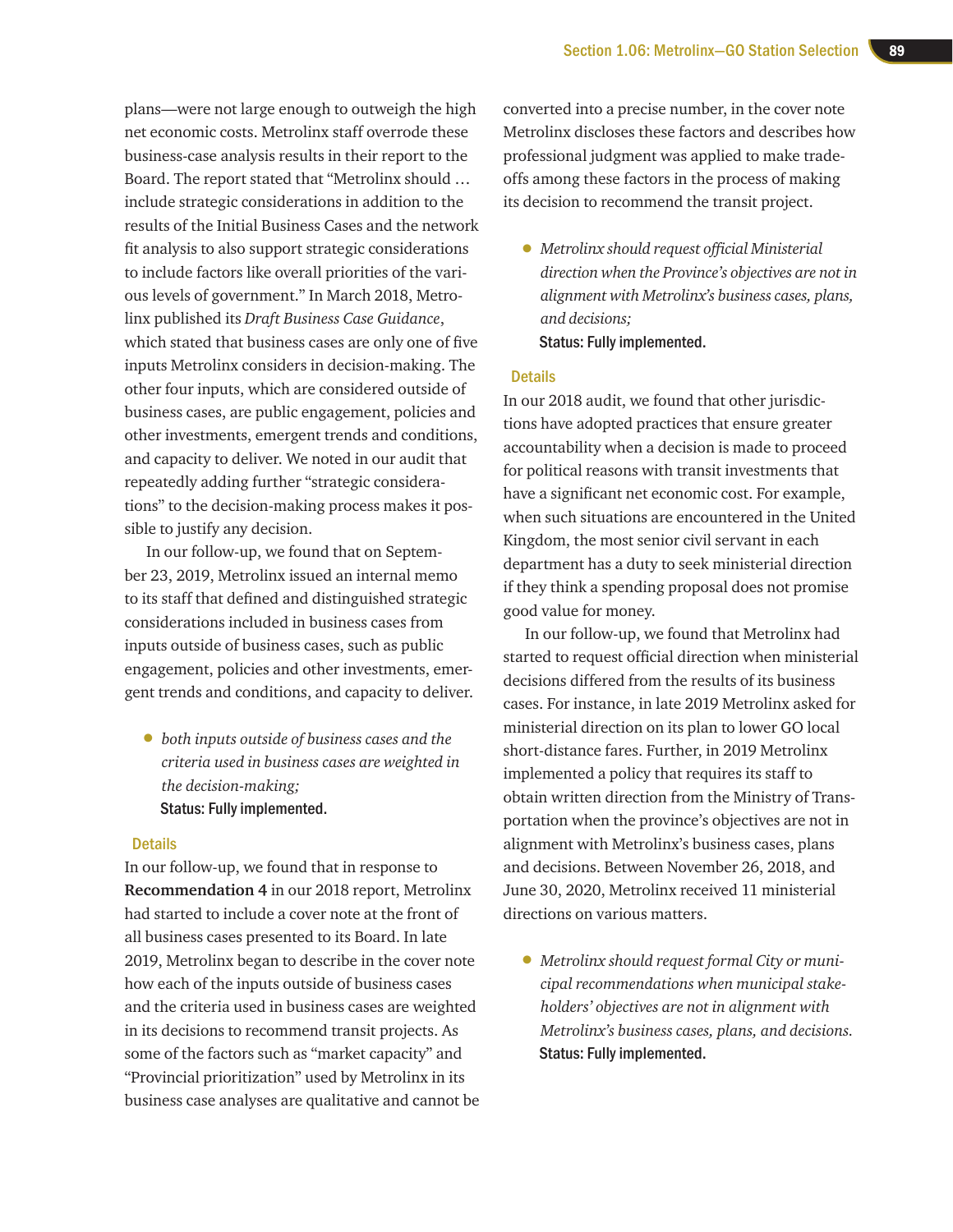plans—were not large enough to outweigh the high net economic costs. Metrolinx staff overrode these business-case analysis results in their report to the Board. The report stated that "Metrolinx should … include strategic considerations in addition to the results of the Initial Business Cases and the network fit analysis to also support strategic considerations to include factors like overall priorities of the various levels of government." In March 2018, Metrolinx published its *Draft Business Case Guidance*, which stated that business cases are only one of five inputs Metrolinx considers in decision-making. The other four inputs, which are considered outside of business cases, are public engagement, policies and other investments, emergent trends and conditions, and capacity to deliver. We noted in our audit that repeatedly adding further "strategic considerations" to the decision-making process makes it possible to justify any decision.

In our follow-up, we found that on September 23, 2019, Metrolinx issued an internal memo to its staff that defined and distinguished strategic considerations included in business cases from inputs outside of business cases, such as public engagement, policies and other investments, emergent trends and conditions, and capacity to deliver.

• *both inputs outside of business cases and the criteria used in business cases are weighted in the decision-making;* Status: Fully implemented.

#### **Details**

In our follow-up, we found that in response to **Recommendation 4** in our 2018 report, Metrolinx had started to include a cover note at the front of all business cases presented to its Board. In late 2019, Metrolinx began to describe in the cover note how each of the inputs outside of business cases and the criteria used in business cases are weighted in its decisions to recommend transit projects. As some of the factors such as "market capacity" and "Provincial prioritization" used by Metrolinx in its business case analyses are qualitative and cannot be

converted into a precise number, in the cover note Metrolinx discloses these factors and describes how professional judgment was applied to make tradeoffs among these factors in the process of making its decision to recommend the transit project.

• *Metrolinx should request official Ministerial direction when the Province's objectives are not in alignment with Metrolinx's business cases, plans, and decisions;* Status: Fully implemented.

#### **Details**

In our 2018 audit, we found that other jurisdictions have adopted practices that ensure greater accountability when a decision is made to proceed for political reasons with transit investments that have a significant net economic cost. For example, when such situations are encountered in the United Kingdom, the most senior civil servant in each department has a duty to seek ministerial direction if they think a spending proposal does not promise good value for money.

In our follow-up, we found that Metrolinx had started to request official direction when ministerial decisions differed from the results of its business cases. For instance, in late 2019 Metrolinx asked for ministerial direction on its plan to lower GO local short-distance fares. Further, in 2019 Metrolinx implemented a policy that requires its staff to obtain written direction from the Ministry of Transportation when the province's objectives are not in alignment with Metrolinx's business cases, plans and decisions. Between November 26, 2018, and June 30, 2020, Metrolinx received 11 ministerial directions on various matters.

• *Metrolinx should request formal City or municipal recommendations when municipal stakeholders' objectives are not in alignment with Metrolinx's business cases, plans, and decisions.* Status: Fully implemented.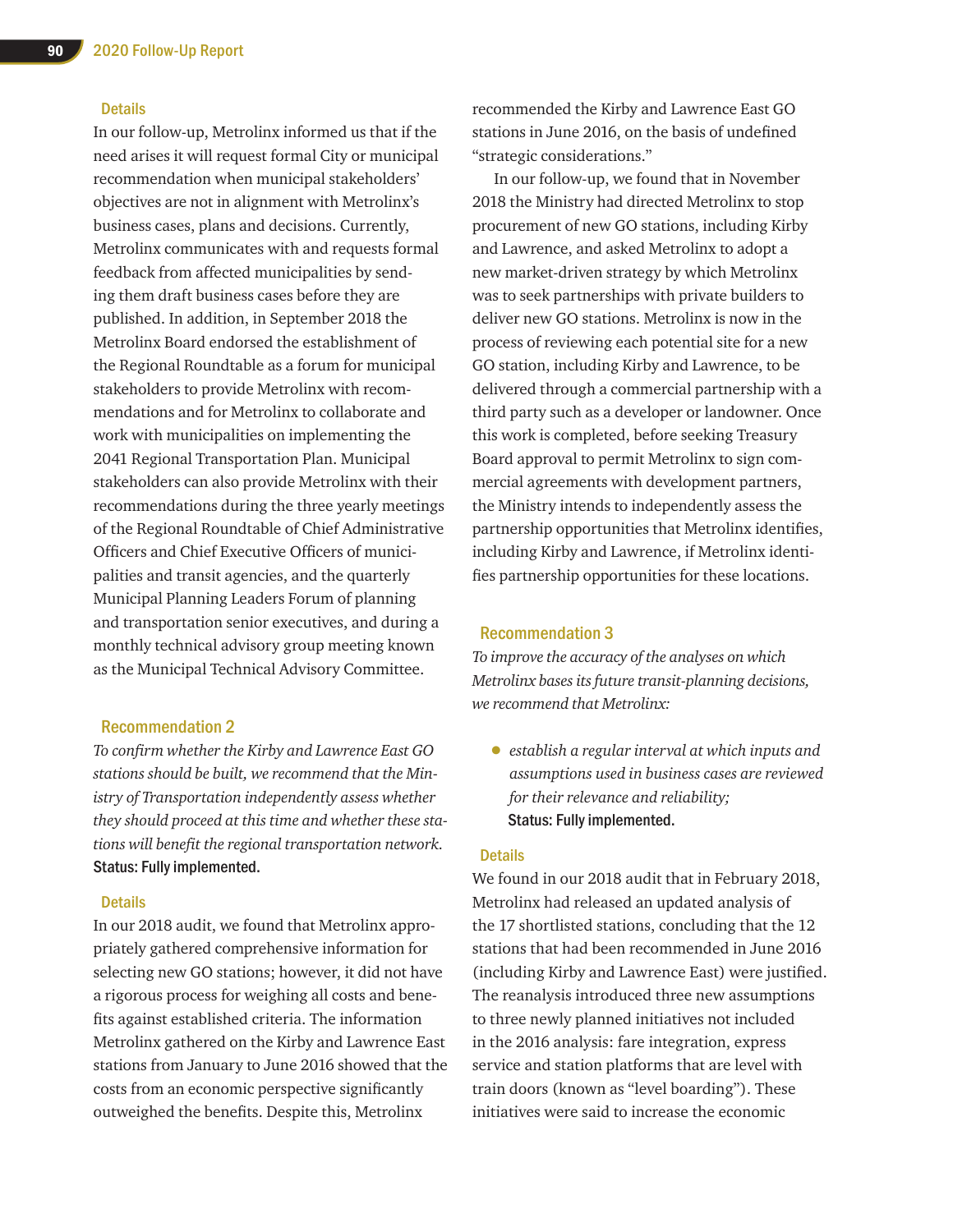#### **Details**

In our follow-up, Metrolinx informed us that if the need arises it will request formal City or municipal recommendation when municipal stakeholders' objectives are not in alignment with Metrolinx's business cases, plans and decisions. Currently, Metrolinx communicates with and requests formal feedback from affected municipalities by sending them draft business cases before they are published. In addition, in September 2018 the Metrolinx Board endorsed the establishment of the Regional Roundtable as a forum for municipal stakeholders to provide Metrolinx with recommendations and for Metrolinx to collaborate and work with municipalities on implementing the 2041 Regional Transportation Plan. Municipal stakeholders can also provide Metrolinx with their recommendations during the three yearly meetings of the Regional Roundtable of Chief Administrative Officers and Chief Executive Officers of municipalities and transit agencies, and the quarterly Municipal Planning Leaders Forum of planning and transportation senior executives, and during a monthly technical advisory group meeting known as the Municipal Technical Advisory Committee.

#### Recommendation 2

*To confirm whether the Kirby and Lawrence East GO stations should be built, we recommend that the Ministry of Transportation independently assess whether they should proceed at this time and whether these stations will benefit the regional transportation network.* Status: Fully implemented.

#### **Details**

In our 2018 audit, we found that Metrolinx appropriately gathered comprehensive information for selecting new GO stations; however, it did not have a rigorous process for weighing all costs and benefits against established criteria. The information Metrolinx gathered on the Kirby and Lawrence East stations from January to June 2016 showed that the costs from an economic perspective significantly outweighed the benefits. Despite this, Metrolinx

recommended the Kirby and Lawrence East GO stations in June 2016, on the basis of undefined "strategic considerations."

In our follow-up, we found that in November 2018 the Ministry had directed Metrolinx to stop procurement of new GO stations, including Kirby and Lawrence, and asked Metrolinx to adopt a new market-driven strategy by which Metrolinx was to seek partnerships with private builders to deliver new GO stations. Metrolinx is now in the process of reviewing each potential site for a new GO station, including Kirby and Lawrence, to be delivered through a commercial partnership with a third party such as a developer or landowner. Once this work is completed, before seeking Treasury Board approval to permit Metrolinx to sign commercial agreements with development partners, the Ministry intends to independently assess the partnership opportunities that Metrolinx identifies, including Kirby and Lawrence, if Metrolinx identifies partnership opportunities for these locations.

#### Recommendation 3

*To improve the accuracy of the analyses on which Metrolinx bases its future transit-planning decisions, we recommend that Metrolinx:*

• *establish a regular interval at which inputs and assumptions used in business cases are reviewed for their relevance and reliability;* Status: Fully implemented.

#### **Details**

We found in our 2018 audit that in February 2018, Metrolinx had released an updated analysis of the 17 shortlisted stations, concluding that the 12 stations that had been recommended in June 2016 (including Kirby and Lawrence East) were justified. The reanalysis introduced three new assumptions to three newly planned initiatives not included in the 2016 analysis: fare integration, express service and station platforms that are level with train doors (known as "level boarding"). These initiatives were said to increase the economic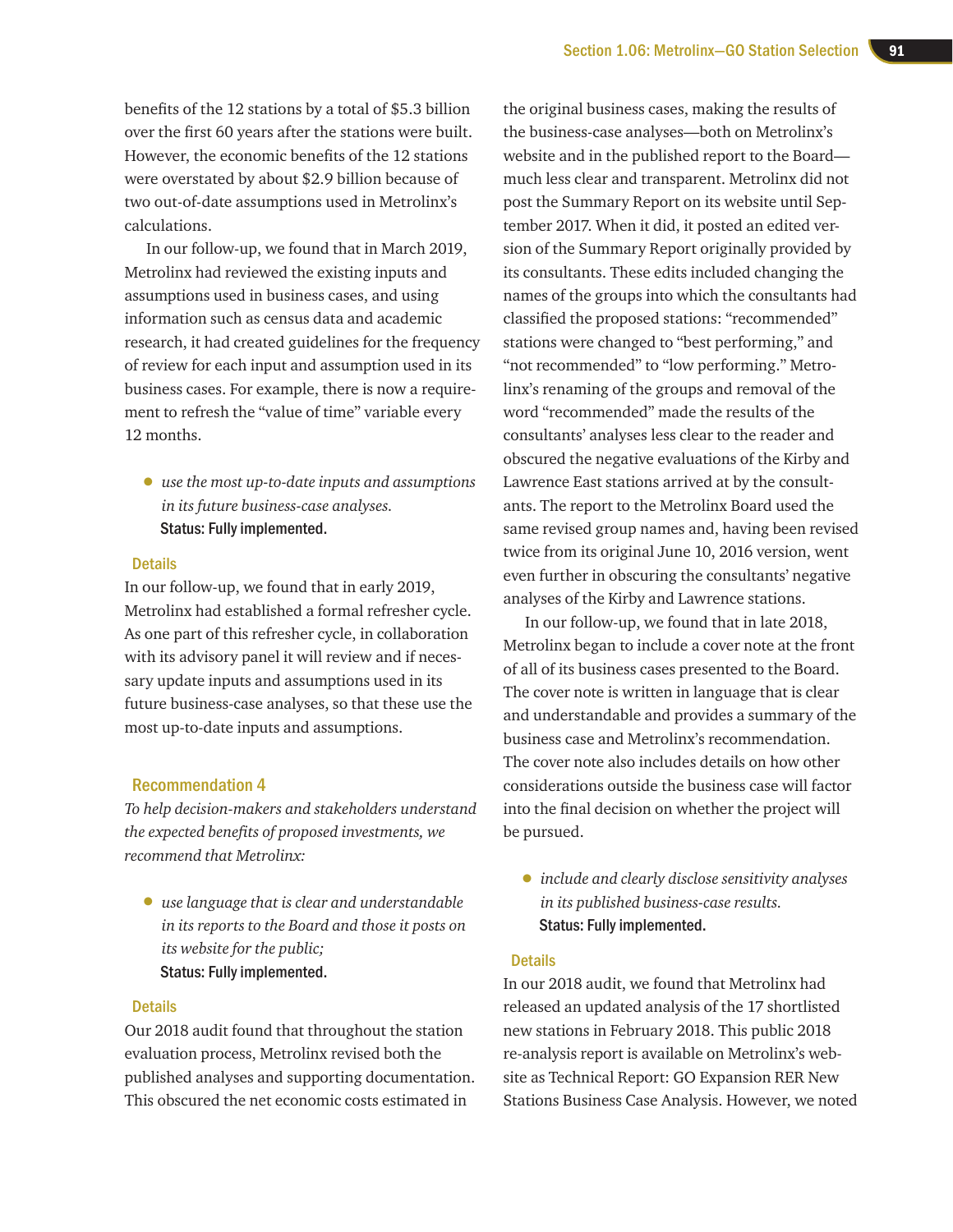benefits of the 12 stations by a total of \$5.3 billion over the first 60 years after the stations were built. However, the economic benefits of the 12 stations were overstated by about \$2.9 billion because of two out-of-date assumptions used in Metrolinx's calculations.

In our follow-up, we found that in March 2019, Metrolinx had reviewed the existing inputs and assumptions used in business cases, and using information such as census data and academic research, it had created guidelines for the frequency of review for each input and assumption used in its business cases. For example, there is now a requirement to refresh the "value of time" variable every 12 months.

• *use the most up-to-date inputs and assumptions in its future business-case analyses.*  Status: Fully implemented.

#### **Details**

In our follow-up, we found that in early 2019, Metrolinx had established a formal refresher cycle. As one part of this refresher cycle, in collaboration with its advisory panel it will review and if necessary update inputs and assumptions used in its future business-case analyses, so that these use the most up-to-date inputs and assumptions.

#### Recommendation 4

*To help decision-makers and stakeholders understand the expected benefits of proposed investments, we recommend that Metrolinx:*

• *use language that is clear and understandable in its reports to the Board and those it posts on its website for the public;*  Status: Fully implemented.

#### **Details**

Our 2018 audit found that throughout the station evaluation process, Metrolinx revised both the published analyses and supporting documentation. This obscured the net economic costs estimated in

the original business cases, making the results of the business-case analyses—both on Metrolinx's website and in the published report to the Board much less clear and transparent. Metrolinx did not post the Summary Report on its website until September 2017. When it did, it posted an edited version of the Summary Report originally provided by its consultants. These edits included changing the names of the groups into which the consultants had classified the proposed stations: "recommended" stations were changed to "best performing," and "not recommended" to "low performing." Metrolinx's renaming of the groups and removal of the word "recommended" made the results of the consultants' analyses less clear to the reader and obscured the negative evaluations of the Kirby and Lawrence East stations arrived at by the consultants. The report to the Metrolinx Board used the same revised group names and, having been revised twice from its original June 10, 2016 version, went even further in obscuring the consultants' negative analyses of the Kirby and Lawrence stations.

In our follow-up, we found that in late 2018, Metrolinx began to include a cover note at the front of all of its business cases presented to the Board. The cover note is written in language that is clear and understandable and provides a summary of the business case and Metrolinx's recommendation. The cover note also includes details on how other considerations outside the business case will factor into the final decision on whether the project will be pursued.

• *include and clearly disclose sensitivity analyses in its published business-case results.*  Status: Fully implemented.

#### **Details**

In our 2018 audit, we found that Metrolinx had released an updated analysis of the 17 shortlisted new stations in February 2018. This public 2018 re-analysis report is available on Metrolinx's website as Technical Report: GO Expansion RER New Stations Business Case Analysis. However, we noted